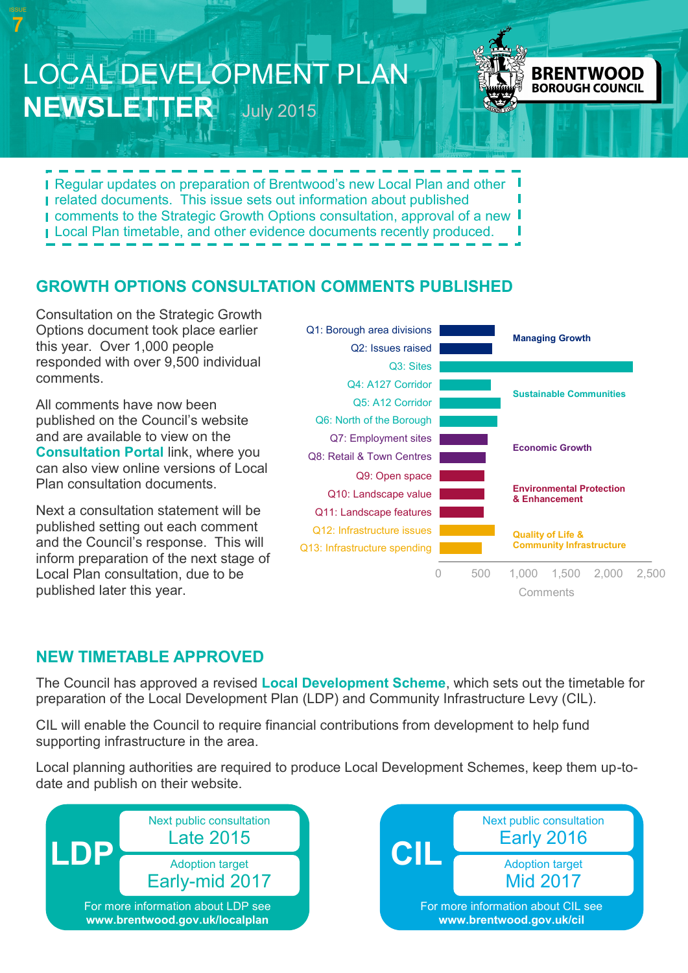**Regular updates on preparation of Brentwood's new Local Plan and other F** related documents. This issue sets out information about published I comments to the Strategic Growth Options consultation, approval of a new I **Local Plan timetable, and other evidence documents recently produced.** 

LOCAL DEVELOPMENT PLAN

**NEWSLETTER** July 2015

## **GROWTH OPTIONS CONSULTATION COMMENTS PUBLISHED**

Consultation on the Strategic Growth Options document took place earlier this year. Over 1,000 people responded with over 9,500 individual comments.

**7**

All comments have now been published on the Council's website and are available to view on the **[Consultation Portal](http://brentwood.jdi-consult.net/localplan/index.php)** link, where you can also view online versions of Local Plan consultation documents.

Next a consultation statement will be published setting out each comment and the Council's response. This will inform preparation of the next stage of Local Plan consultation, due to be published later this year.



**BRENTWOOD BOROUGH COUNCIL** 

### **NEW TIMETABLE APPROVED**

The Council has approved a revised **[Local Development Scheme](http://www.brentwood.gov.uk/pdf/22072015200759u.pdf)**, which sets out the timetable for preparation of the Local Development Plan (LDP) and Community Infrastructure Levy (CIL).

CIL will enable the Council to require financial contributions from development to help fund supporting infrastructure in the area.

Local planning authorities are required to produce Local Development Schemes, keep them up-todate and publish on their website.